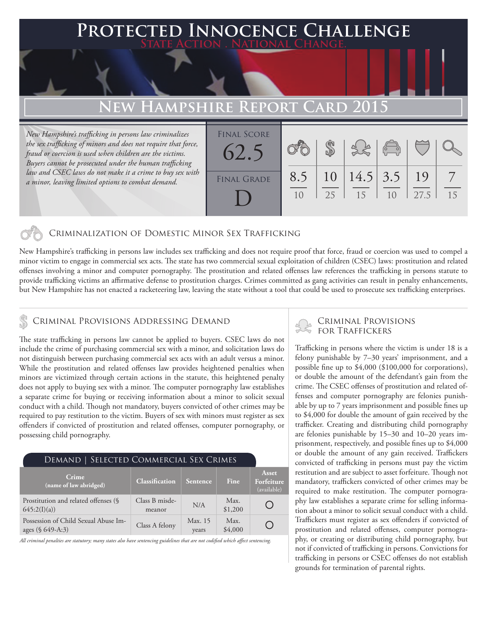# **FED INNOCENCE CHALLENGE State Action . National Change. EW HAMPSHIRE REPORT CARD 2015** *New Hampshire's trafficking in persons law criminalizes*  Final Score

*the sex trafficking of minors and does not require that force, fraud or coercion is used when children are the victims. Buyers cannot be prosecuted under the human trafficking law and CSEC laws do not make it a crime to buy sex with a minor, leaving limited options to combat demand.* 

| <b>FINAL SCORE</b><br>62.5 |            |          |                  | $\overline{C}$ |                    |    |
|----------------------------|------------|----------|------------------|----------------|--------------------|----|
| <b>FINAL GRADE</b>         | 8.5<br>1() | 10<br>25 | $14.5$ 3.5<br>15 | 1 <sub>0</sub> | $\vert$ 19<br>27.5 | 15 |

### Criminalization of Domestic Minor Sex Trafficking

New Hampshire's trafficking in persons law includes sex trafficking and does not require proof that force, fraud or coercion was used to compel a minor victim to engage in commercial sex acts. The state has two commercial sexual exploitation of children (CSEC) laws: prostitution and related offenses involving a minor and computer pornography. The prostitution and related offenses law references the trafficking in persons statute to provide trafficking victims an affirmative defense to prostitution charges. Crimes committed as gang activities can result in penalty enhancements, but New Hampshire has not enacted a racketeering law, leaving the state without a tool that could be used to prosecute sex trafficking enterprises.

## CRIMINAL PROVISIONS ADDRESSING DEMAND CRIMINAL PROVISIONS  $\sim$  CRIMINAL PROVISIONS

The state trafficking in persons law cannot be applied to buyers. CSEC laws do not include the crime of purchasing commercial sex with a minor, and solicitation laws do not distinguish between purchasing commercial sex acts with an adult versus a minor. While the prostitution and related offenses law provides heightened penalties when minors are victimized through certain actions in the statute, this heightened penalty does not apply to buying sex with a minor. The computer pornography law establishes a separate crime for buying or receiving information about a minor to solicit sexual conduct with a child. Though not mandatory, buyers convicted of other crimes may be required to pay restitution to the victim. Buyers of sex with minors must register as sex offenders if convicted of prostitution and related offenses, computer pornography, or possessing child pornography.

### Demand | Selected Commercial Sex Crimes

| Crime<br>$\overline{\mathbf{q}}$ (name of law abridged)  | <b>Classification</b>    | Sentence         | Fine            | Asset<br>Forfeiture<br>(available) |
|----------------------------------------------------------|--------------------------|------------------|-----------------|------------------------------------|
| Prostitution and related offenses (§<br>645:2(I)(a)      | Class B misde-<br>meanor | N/A              | Max.<br>\$1,200 |                                    |
| Possession of Child Sexual Abuse Im-<br>ages (§ 649-A:3) | Class A felony           | Max. 15<br>years | Max.<br>\$4,000 |                                    |

*All criminal penalties are statutory; many states also have sentencing guidelines that are not codified which affect sentencing.* 

Trafficking in persons where the victim is under 18 is a felony punishable by 7–30 years' imprisonment, and a possible fine up to \$4,000 (\$100,000 for corporations), or double the amount of the defendant's gain from the crime. The CSEC offenses of prostitution and related offenses and computer pornography are felonies punishable by up to 7 years imprisonment and possible fines up to \$4,000 for double the amount of gain received by the trafficker. Creating and distributing child pornography are felonies punishable by 15–30 and 10–20 years imprisonment, respectively, and possible fines up to \$4,000 or double the amount of any gain received. Traffickers convicted of trafficking in persons must pay the victim restitution and are subject to asset forfeiture. Though not mandatory, traffickers convicted of other crimes may be required to make restitution. The computer pornography law establishes a separate crime for selling information about a minor to solicit sexual conduct with a child. Traffickers must register as sex offenders if convicted of prostitution and related offenses, computer pornography, or creating or distributing child pornography, but not if convicted of trafficking in persons. Convictions for trafficking in persons or CSEC offenses do not establish grounds for termination of parental rights.